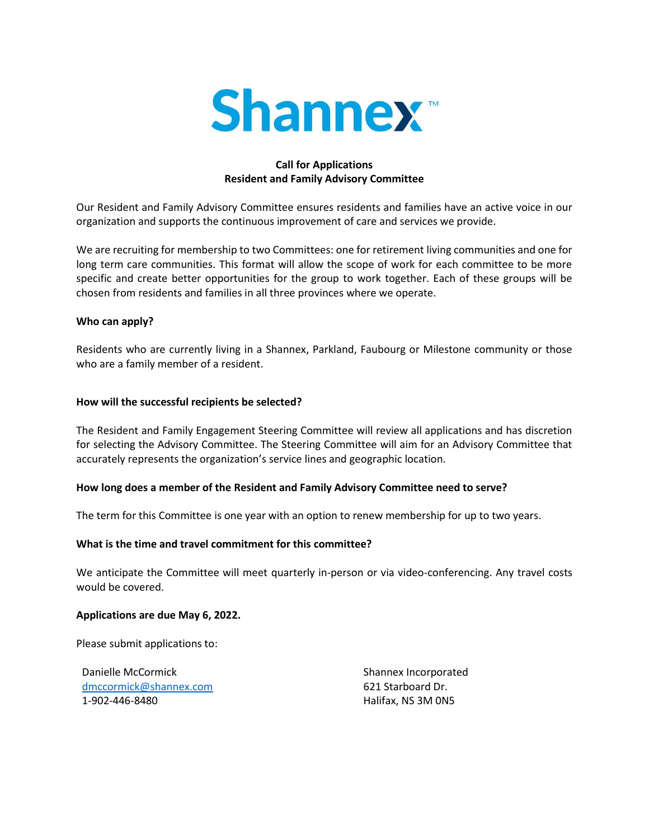

# **Call for Applications Resident and Family Advisory Committee**

Our Resident and Family Advisory Committee ensures residents and families have an active voice in our organization and supports the continuous improvement of care and services we provide.

We are recruiting for membership to two Committees: one for retirement living communities and one for long term care communities. This format will allow the scope of work for each committee to be more specific and create better opportunities for the group to work together. Each of these groups will be chosen from residents and families in all three provinces where we operate.

## **Who can apply?**

Residents who are currently living in a Shannex, Parkland, Faubourg or Milestone community or those who are a family member of a resident.

## **How will the successful recipients be selected?**

The Resident and Family Engagement Steering Committee will review all applications and has discretion for selecting the Advisory Committee. The Steering Committee will aim for an Advisory Committee that accurately represents the organization's service lines and geographic location.

## **How long does a member of the Resident and Family Advisory Committee need to serve?**

The term for this Committee is one year with an option to renew membership for up to two years.

## **What is the time and travel commitment for this committee?**

We anticipate the Committee will meet quarterly in-person or via video-conferencing. Any travel costs would be covered.

## **Applications are due May 6, 2022.**

Please submit applications to:

Danielle McCormick [dmccormick@shannex.com](mailto:dmccormick@shannex.com) 1-902-446-8480

Shannex Incorporated 621 Starboard Dr. Halifax, NS 3M 0N5